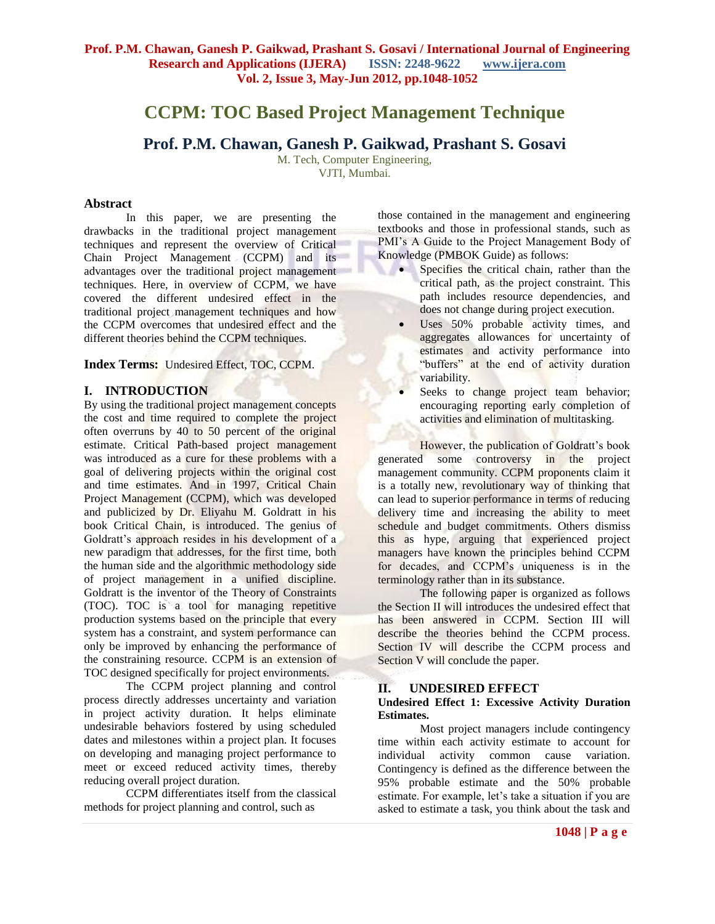# **CCPM: TOC Based Project Management Technique**

## **Prof. P.M. Chawan, Ganesh P. Gaikwad, Prashant S. Gosavi**

M. Tech, Computer Engineering, VJTI, Mumbai.

## **Abstract**

In this paper, we are presenting the drawbacks in the traditional project management techniques and represent the overview of Critical Chain Project Management (CCPM) and its advantages over the traditional project management techniques. Here, in overview of CCPM, we have covered the different undesired effect in the traditional project management techniques and how the CCPM overcomes that undesired effect and the different theories behind the CCPM techniques.

**Index Terms:** Undesired Effect, TOC, CCPM.

## **I. INTRODUCTION**

By using the traditional project management concepts the cost and time required to complete the project often overruns by 40 to 50 percent of the original estimate. Critical Path-based project management was introduced as a cure for these problems with a goal of delivering projects within the original cost and time estimates. And in 1997, Critical Chain Project Management (CCPM), which was developed and publicized by Dr. Eliyahu M. Goldratt in his book Critical Chain, is introduced. The genius of Goldratt's approach resides in his development of a new paradigm that addresses, for the first time, both the human side and the algorithmic methodology side of project management in a unified discipline. Goldratt is the inventor of the Theory of Constraints (TOC). TOC is a tool for managing repetitive production systems based on the principle that every system has a constraint, and system performance can only be improved by enhancing the performance of the constraining resource. CCPM is an extension of TOC designed specifically for project environments.

The CCPM project planning and control process directly addresses uncertainty and variation in project activity duration. It helps eliminate undesirable behaviors fostered by using scheduled dates and milestones within a project plan. It focuses on developing and managing project performance to meet or exceed reduced activity times, thereby reducing overall project duration.

CCPM differentiates itself from the classical methods for project planning and control, such as

those contained in the management and engineering textbooks and those in professional stands, such as PMI's A Guide to the Project Management Body of Knowledge (PMBOK Guide) as follows:

- Specifies the critical chain, rather than the critical path, as the project constraint. This path includes resource dependencies, and does not change during project execution.
- Uses 50% probable activity times, and aggregates allowances for uncertainty of estimates and activity performance into "buffers" at the end of activity duration variability.
- Seeks to change project team behavior; encouraging reporting early completion of activities and elimination of multitasking.

However, the publication of Goldratt's book generated some controversy in the project management community. CCPM proponents claim it is a totally new, revolutionary way of thinking that can lead to superior performance in terms of reducing delivery time and increasing the ability to meet schedule and budget commitments. Others dismiss this as hype, arguing that experienced project managers have known the principles behind CCPM for decades, and CCPM's uniqueness is in the terminology rather than in its substance.

The following paper is organized as follows the Section II will introduces the undesired effect that has been answered in CCPM. Section III will describe the theories behind the CCPM process. Section IV will describe the CCPM process and Section V will conclude the paper.

## **II. UNDESIRED EFFECT**

## **Undesired Effect 1: Excessive Activity Duration Estimates.**

Most project managers include contingency time within each activity estimate to account for individual activity common cause variation. Contingency is defined as the difference between the 95% probable estimate and the 50% probable estimate. For example, let's take a situation if you are asked to estimate a task, you think about the task and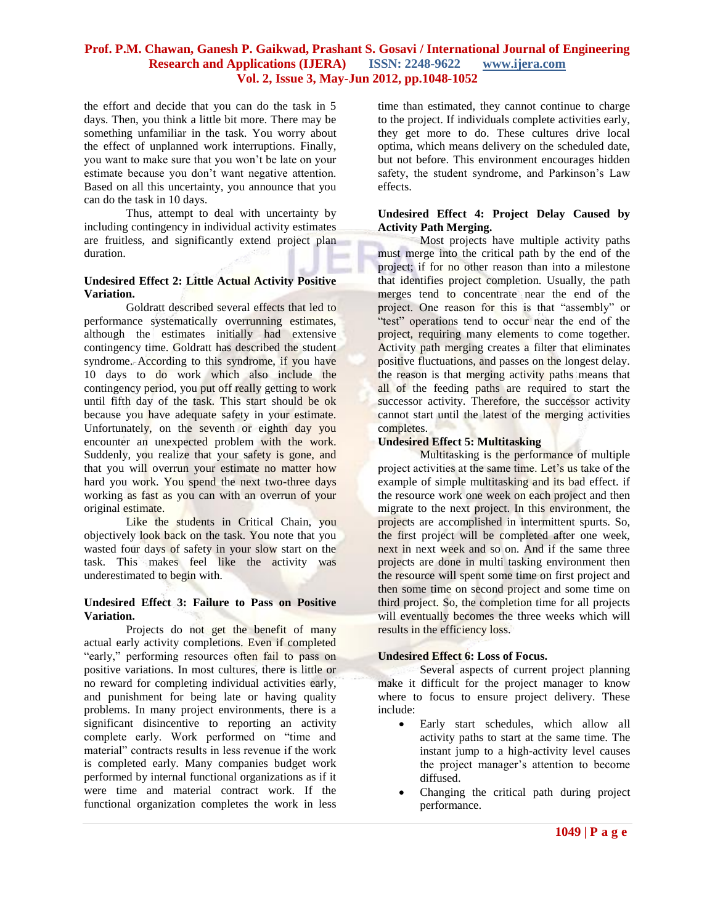the effort and decide that you can do the task in 5 days. Then, you think a little bit more. There may be something unfamiliar in the task. You worry about the effect of unplanned work interruptions. Finally, you want to make sure that you won't be late on your estimate because you don't want negative attention. Based on all this uncertainty, you announce that you can do the task in 10 days.

Thus, attempt to deal with uncertainty by including contingency in individual activity estimates are fruitless, and significantly extend project plan duration.

#### **Undesired Effect 2: Little Actual Activity Positive Variation.**

Goldratt described several effects that led to performance systematically overrunning estimates, although the estimates initially had extensive contingency time. Goldratt has described the student syndrome. According to this syndrome, if you have 10 days to do work which also include the contingency period, you put off really getting to work until fifth day of the task. This start should be ok because you have adequate safety in your estimate. Unfortunately, on the seventh or eighth day you encounter an unexpected problem with the work. Suddenly, you realize that your safety is gone, and that you will overrun your estimate no matter how hard you work. You spend the next two-three days working as fast as you can with an overrun of your original estimate.

Like the students in Critical Chain, you objectively look back on the task. You note that you wasted four days of safety in your slow start on the task. This makes feel like the activity was underestimated to begin with.

#### **Undesired Effect 3: Failure to Pass on Positive Variation.**

Projects do not get the benefit of many actual early activity completions. Even if completed "early," performing resources often fail to pass on positive variations. In most cultures, there is little or no reward for completing individual activities early, and punishment for being late or having quality problems. In many project environments, there is a significant disincentive to reporting an activity complete early. Work performed on "time and material" contracts results in less revenue if the work is completed early. Many companies budget work performed by internal functional organizations as if it were time and material contract work. If the functional organization completes the work in less

time than estimated, they cannot continue to charge to the project. If individuals complete activities early, they get more to do. These cultures drive local optima, which means delivery on the scheduled date, but not before. This environment encourages hidden safety, the student syndrome, and Parkinson's Law effects.

#### **Undesired Effect 4: Project Delay Caused by Activity Path Merging.**

Most projects have multiple activity paths must merge into the critical path by the end of the project; if for no other reason than into a milestone that identifies project completion. Usually, the path merges tend to concentrate near the end of the project. One reason for this is that "assembly" or "test" operations tend to occur near the end of the project, requiring many elements to come together. Activity path merging creates a filter that eliminates positive fluctuations, and passes on the longest delay. the reason is that merging activity paths means that all of the feeding paths are required to start the successor activity. Therefore, the successor activity cannot start until the latest of the merging activities completes.

#### **Undesired Effect 5: Multitasking**

Multitasking is the performance of multiple project activities at the same time. Let's us take of the example of simple multitasking and its bad effect. if the resource work one week on each project and then migrate to the next project. In this environment, the projects are accomplished in intermittent spurts. So, the first project will be completed after one week, next in next week and so on. And if the same three projects are done in multi tasking environment then the resource will spent some time on first project and then some time on second project and some time on third project. So, the completion time for all projects will eventually becomes the three weeks which will results in the efficiency loss.

#### **Undesired Effect 6: Loss of Focus.**

Several aspects of current project planning make it difficult for the project manager to know where to focus to ensure project delivery. These include:

- Early start schedules, which allow all activity paths to start at the same time. The instant jump to a high-activity level causes the project manager's attention to become diffused.
- Changing the critical path during project performance.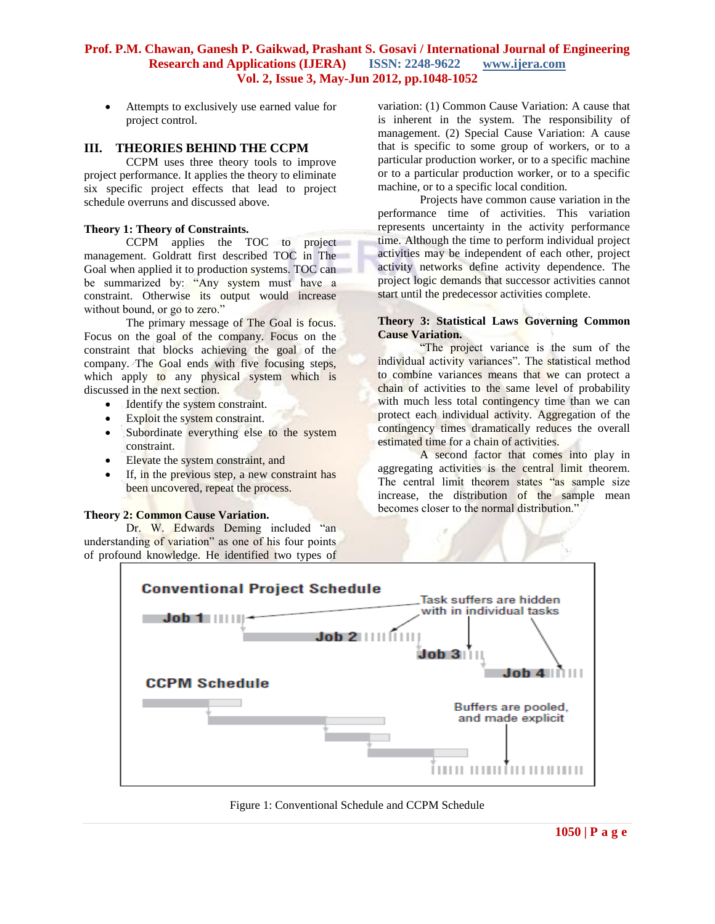Attempts to exclusively use earned value for project control.

## **III. THEORIES BEHIND THE CCPM**

CCPM uses three theory tools to improve project performance. It applies the theory to eliminate six specific project effects that lead to project schedule overruns and discussed above.

#### **Theory 1: Theory of Constraints.**

CCPM applies the TOC to project management. Goldratt first described TOC in The Goal when applied it to production systems. TOC can be summarized by: "Any system must have a constraint. Otherwise its output would increase without bound, or go to zero."

The primary message of The Goal is focus. Focus on the goal of the company. Focus on the constraint that blocks achieving the goal of the company. The Goal ends with five focusing steps, which apply to any physical system which is discussed in the next section.

- Identify the system constraint.
- Exploit the system constraint.
- Subordinate everything else to the system constraint.
- Elevate the system constraint, and
- If, in the previous step, a new constraint has been uncovered, repeat the process.

#### **Theory 2: Common Cause Variation.**

Dr. W. Edwards Deming included "an understanding of variation" as one of his four points of profound knowledge. He identified two types of

variation: (1) Common Cause Variation: A cause that is inherent in the system. The responsibility of management. (2) Special Cause Variation: A cause that is specific to some group of workers, or to a particular production worker, or to a specific machine or to a particular production worker, or to a specific machine, or to a specific local condition.

Projects have common cause variation in the performance time of activities. This variation represents uncertainty in the activity performance time. Although the time to perform individual project activities may be independent of each other, project activity networks define activity dependence. The project logic demands that successor activities cannot start until the predecessor activities complete.

## **Theory 3: Statistical Laws Governing Common Cause Variation.**

"The project variance is the sum of the individual activity variances". The statistical method to combine variances means that we can protect a chain of activities to the same level of probability with much less total contingency time than we can protect each individual activity. Aggregation of the contingency times dramatically reduces the overall estimated time for a chain of activities.

A second factor that comes into play in aggregating activities is the central limit theorem. The central limit theorem states "as sample size increase, the distribution of the sample mean becomes closer to the normal distribution."



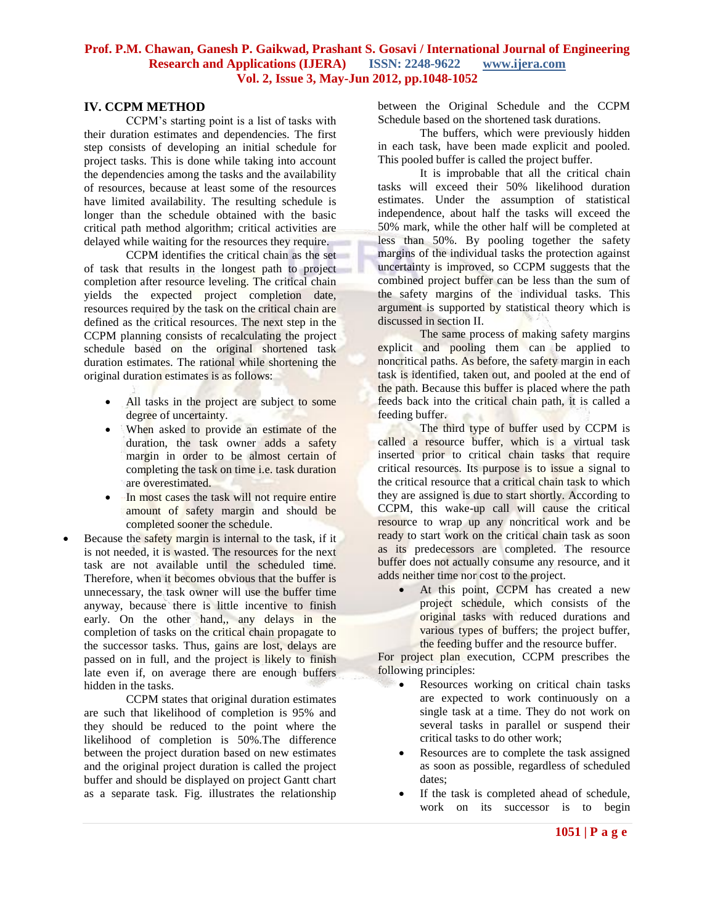#### **IV. CCPM METHOD**

CCPM's starting point is a list of tasks with their duration estimates and dependencies. The first step consists of developing an initial schedule for project tasks. This is done while taking into account the dependencies among the tasks and the availability of resources, because at least some of the resources have limited availability. The resulting schedule is longer than the schedule obtained with the basic critical path method algorithm; critical activities are delayed while waiting for the resources they require.

CCPM identifies the critical chain as the set of task that results in the longest path to project completion after resource leveling. The critical chain yields the expected project completion date, resources required by the task on the critical chain are defined as the critical resources. The next step in the CCPM planning consists of recalculating the project schedule based on the original shortened task duration estimates. The rational while shortening the original duration estimates is as follows:

- All tasks in the project are subject to some degree of uncertainty.
- When asked to provide an estimate of the duration, the task owner adds a safety margin in order to be almost certain of completing the task on time i.e. task duration are overestimated.
- In most cases the task will not require entire amount of safety margin and should be completed sooner the schedule.
- Because the safety margin is internal to the task, if it is not needed, it is wasted. The resources for the next task are not available until the scheduled time. Therefore, when it becomes obvious that the buffer is unnecessary, the task owner will use the buffer time anyway, because there is little incentive to finish early. On the other hand, any delays in the completion of tasks on the critical chain propagate to the successor tasks. Thus, gains are lost, delays are passed on in full, and the project is likely to finish late even if, on average there are enough buffers hidden in the tasks.

CCPM states that original duration estimates are such that likelihood of completion is 95% and they should be reduced to the point where the likelihood of completion is 50%.The difference between the project duration based on new estimates and the original project duration is called the project buffer and should be displayed on project Gantt chart as a separate task. Fig. illustrates the relationship

between the Original Schedule and the CCPM Schedule based on the shortened task durations.

The buffers, which were previously hidden in each task, have been made explicit and pooled. This pooled buffer is called the project buffer.

It is improbable that all the critical chain tasks will exceed their 50% likelihood duration estimates. Under the assumption of statistical independence, about half the tasks will exceed the 50% mark, while the other half will be completed at less than 50%. By pooling together the safety margins of the individual tasks the protection against uncertainty is improved, so CCPM suggests that the combined project buffer can be less than the sum of the safety margins of the individual tasks. This argument is supported by statistical theory which is discussed in section II.

The same process of making safety margins explicit and pooling them can be applied to noncritical paths. As before, the safety margin in each task is identified, taken out, and pooled at the end of the path. Because this buffer is placed where the path feeds back into the critical chain path, it is called a feeding buffer.

The third type of buffer used by CCPM is called a resource buffer, which is a virtual task inserted prior to critical chain tasks that require critical resources. Its purpose is to issue a signal to the critical resource that a critical chain task to which they are assigned is due to start shortly. According to CCPM, this wake-up call will cause the critical resource to wrap up any noncritical work and be ready to start work on the critical chain task as soon as its predecessors are completed. The resource buffer does not actually consume any resource, and it adds neither time nor cost to the project.

> At this point, CCPM has created a new project schedule, which consists of the original tasks with reduced durations and various types of buffers; the project buffer, the feeding buffer and the resource buffer.

For project plan execution, CCPM prescribes the following principles:

- Resources working on critical chain tasks are expected to work continuously on a single task at a time. They do not work on several tasks in parallel or suspend their critical tasks to do other work;
- Resources are to complete the task assigned as soon as possible, regardless of scheduled dates;
- If the task is completed ahead of schedule, work on its successor is to begin